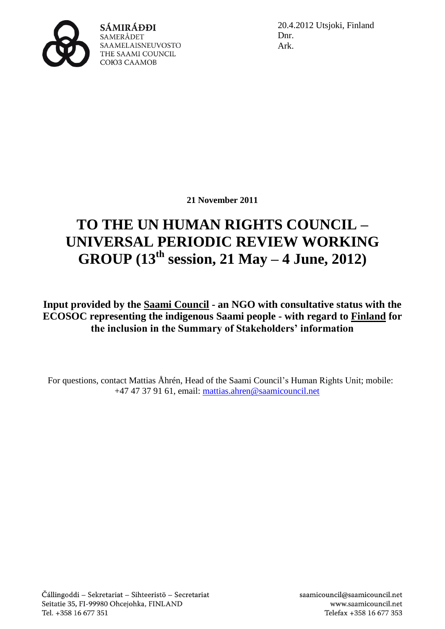

**SÁMIRÁÐÐI SAMERÅDET** SAAMELAISNEUVOSTO THE SAAMI COUNCIL COIO3 CAAMOB

20.4.2012 Utsjoki, Finland Dnr. Ark.

**21 November 2011**

# **TO THE UN HUMAN RIGHTS COUNCIL – UNIVERSAL PERIODIC REVIEW WORKING GROUP (13th session, 21 May – 4 June, 2012)**

**Input provided by the Saami Council - an NGO with consultative status with the ECOSOC representing the indigenous Saami people - with regard to Finland for the inclusion in the Summary of Stakeholders' information**

For questions, contact Mattias Åhrén, Head of the Saami Council's Human Rights Unit; mobile: +47 47 37 91 61, email: [mattias.ahren@saamicouncil.net](mailto:mattias.ahren@saamicouncil.net)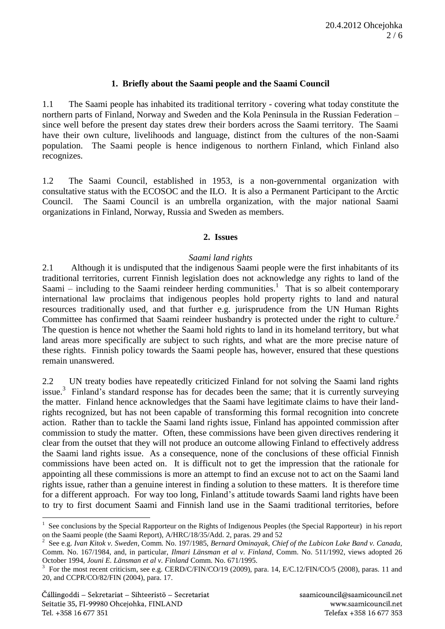## **1. Briefly about the Saami people and the Saami Council**

1.1 The Saami people has inhabited its traditional territory - covering what today constitute the northern parts of Finland, Norway and Sweden and the Kola Peninsula in the Russian Federation – since well before the present day states drew their borders across the Saami territory. The Saami have their own culture, livelihoods and language, distinct from the cultures of the non-Saami population. The Saami people is hence indigenous to northern Finland, which Finland also recognizes.

1.2 The Saami Council, established in 1953, is a non-governmental organization with consultative status with the ECOSOC and the ILO. It is also a Permanent Participant to the Arctic Council. The Saami Council is an umbrella organization, with the major national Saami organizations in Finland, Norway, Russia and Sweden as members.

#### **2. Issues**

## *Saami land rights*

2.1 Although it is undisputed that the indigenous Saami people were the first inhabitants of its traditional territories, current Finnish legislation does not acknowledge any rights to land of the Saami – including to the Saami reindeer herding communities.<sup>1</sup> That is so albeit contemporary international law proclaims that indigenous peoples hold property rights to land and natural resources traditionally used, and that further e.g. jurisprudence from the UN Human Rights Committee has confirmed that Saami reindeer husbandry is protected under the right to culture. 2 The question is hence not whether the Saami hold rights to land in its homeland territory, but what land areas more specifically are subject to such rights, and what are the more precise nature of these rights. Finnish policy towards the Saami people has, however, ensured that these questions remain unanswered.

2.2 UN treaty bodies have repeatedly criticized Finland for not solving the Saami land rights issue.<sup>3</sup> Finland's standard response has for decades been the same; that it is currently surveying the matter. Finland hence acknowledges that the Saami have legitimate claims to have their landrights recognized, but has not been capable of transforming this formal recognition into concrete action. Rather than to tackle the Saami land rights issue, Finland has appointed commission after commission to study the matter. Often, these commissions have been given directives rendering it clear from the outset that they will not produce an outcome allowing Finland to effectively address the Saami land rights issue. As a consequence, none of the conclusions of these official Finnish commissions have been acted on. It is difficult not to get the impression that the rationale for appointing all these commissions is more an attempt to find an excuse not to act on the Saami land rights issue, rather than a genuine interest in finding a solution to these matters. It is therefore time for a different approach. For way too long, Finland's attitude towards Saami land rights have been to try to first document Saami and Finnish land use in the Saami traditional territories, before

 $<sup>1</sup>$  See conclusions by the Special Rapporteur on the Rights of Indigenous Peoples (the Special Rapporteur) in his report</sup> on the Saami people (the Saami Report), A/HRC/18/35/Add. 2, paras. 29 and 52

<sup>2</sup> See e.g. *Ivan Kitok v. Sweden*, Comm. No. 197/1985, *Bernard Ominayak, Chief of the Lubicon Lake Band v. Canada,* Comm. No. 167/1984, and, in particular, *Ilmari Länsman et al v. Finland*, Comm. No. 511/1992, views adopted 26 October 1994, *Jouni E. Länsman et al v. Finland* Comm. No. 671/1995.

<sup>3</sup> For the most recent criticism, see e.g. CERD/C/FIN/CO/19 (2009), para. 14, E/C.12/FIN/CO/5 (2008), paras. 11 and 20, and CCPR/CO/82/FIN (2004), para. 17.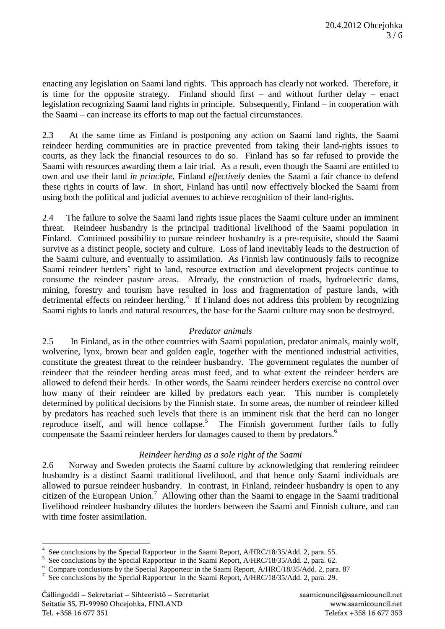enacting any legislation on Saami land rights. This approach has clearly not worked. Therefore, it is time for the opposite strategy. Finland should first  $-$  and without further delay  $-$  enact legislation recognizing Saami land rights in principle. Subsequently, Finland – in cooperation with the Saami – can increase its efforts to map out the factual circumstances.

2.3 At the same time as Finland is postponing any action on Saami land rights, the Saami reindeer herding communities are in practice prevented from taking their land-rights issues to courts, as they lack the financial resources to do so. Finland has so far refused to provide the Saami with resources awarding them a fair trial. As a result, even though the Saami are entitled to own and use their land *in principle*, Finland *effectively* denies the Saami a fair chance to defend these rights in courts of law. In short, Finland has until now effectively blocked the Saami from using both the political and judicial avenues to achieve recognition of their land-rights.

2.4 The failure to solve the Saami land rights issue places the Saami culture under an imminent threat. Reindeer husbandry is the principal traditional livelihood of the Saami population in Finland. Continued possibility to pursue reindeer husbandry is a pre-requisite, should the Saami survive as a distinct people, society and culture. Loss of land inevitably leads to the destruction of the Saami culture, and eventually to assimilation. As Finnish law continuously fails to recognize Saami reindeer herders' right to land, resource extraction and development projects continue to consume the reindeer pasture areas. Already, the construction of roads, hydroelectric dams, mining, forestry and tourism have resulted in loss and fragmentation of pasture lands, with detrimental effects on reindeer herding.<sup>4</sup> If Finland does not address this problem by recognizing Saami rights to lands and natural resources, the base for the Saami culture may soon be destroyed.

#### *Predator animals*

2.5 In Finland, as in the other countries with Saami population, predator animals, mainly wolf, wolverine, lynx, brown bear and golden eagle, together with the mentioned industrial activities, constitute the greatest threat to the reindeer husbandry. The government regulates the number of reindeer that the reindeer herding areas must feed, and to what extent the reindeer herders are allowed to defend their herds. In other words, the Saami reindeer herders exercise no control over how many of their reindeer are killed by predators each year. This number is completely determined by political decisions by the Finnish state. In some areas, the number of reindeer killed by predators has reached such levels that there is an imminent risk that the herd can no longer reproduce itself, and will hence collapse.<sup>5</sup> The Finnish government further fails to fully compensate the Saami reindeer herders for damages caused to them by predators.<sup>6</sup>

## *Reindeer herding as a sole right of the Saami*

2.6 Norway and Sweden protects the Saami culture by acknowledging that rendering reindeer husbandry is a distinct Saami traditional livelihood, and that hence only Saami individuals are allowed to pursue reindeer husbandry. In contrast, in Finland, reindeer husbandry is open to any citizen of the European Union.<sup>7</sup> Allowing other than the Saami to engage in the Saami traditional livelihood reindeer husbandry dilutes the borders between the Saami and Finnish culture, and can with time foster assimilation.

<sup>4</sup> See conclusions by the Special Rapporteur in the Saami Report, A/HRC/18/35/Add. 2, para. 55.

<sup>5</sup> See conclusions by the Special Rapporteur in the Saami Report, A/HRC/18/35/Add. 2, para. 62.

<sup>6</sup> Compare conclusions by the Special Rapporteur in the Saami Report, A/HRC/18/35/Add. 2, para. 87

<sup>&</sup>lt;sup>7</sup> See conclusions by the Special Rapporteur in the Saami Report, A/HRC/18/35/Add. 2, para. 29.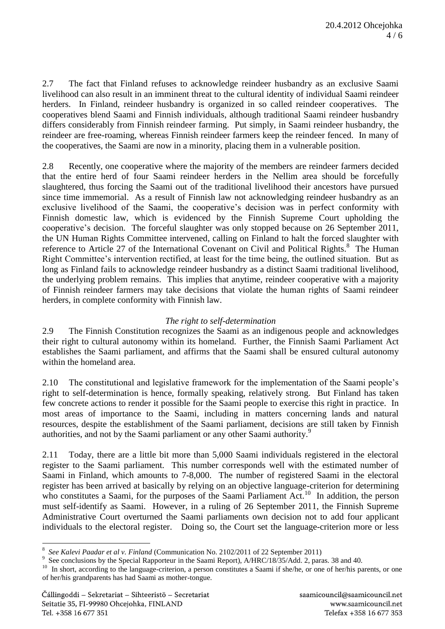2.7 The fact that Finland refuses to acknowledge reindeer husbandry as an exclusive Saami livelihood can also result in an imminent threat to the cultural identity of individual Saami reindeer herders. In Finland, reindeer husbandry is organized in so called reindeer cooperatives. The cooperatives blend Saami and Finnish individuals, although traditional Saami reindeer husbandry differs considerably from Finnish reindeer farming. Put simply, in Saami reindeer husbandry, the reindeer are free-roaming, whereas Finnish reindeer farmers keep the reindeer fenced. In many of the cooperatives, the Saami are now in a minority, placing them in a vulnerable position.

2.8 Recently, one cooperative where the majority of the members are reindeer farmers decided that the entire herd of four Saami reindeer herders in the Nellim area should be forcefully slaughtered, thus forcing the Saami out of the traditional livelihood their ancestors have pursued since time immemorial. As a result of Finnish law not acknowledging reindeer husbandry as an exclusive livelihood of the Saami, the cooperative's decision was in perfect conformity with Finnish domestic law, which is evidenced by the Finnish Supreme Court upholding the cooperative's decision. The forceful slaughter was only stopped because on 26 September 2011, the UN Human Rights Committee intervened, calling on Finland to halt the forced slaughter with reference to Article 27 of the International Covenant on Civil and Political Rights.<sup>8</sup> The Human Right Committee's intervention rectified, at least for the time being, the outlined situation. But as long as Finland fails to acknowledge reindeer husbandry as a distinct Saami traditional livelihood, the underlying problem remains. This implies that anytime, reindeer cooperative with a majority of Finnish reindeer farmers may take decisions that violate the human rights of Saami reindeer herders, in complete conformity with Finnish law.

## *The right to self-determination*

2.9 The Finnish Constitution recognizes the Saami as an indigenous people and acknowledges their right to cultural autonomy within its homeland. Further, the Finnish Saami Parliament Act establishes the Saami parliament, and affirms that the Saami shall be ensured cultural autonomy within the homeland area.

2.10 The constitutional and legislative framework for the implementation of the Saami people's right to self-determination is hence, formally speaking, relatively strong. But Finland has taken few concrete actions to render it possible for the Saami people to exercise this right in practice. In most areas of importance to the Saami, including in matters concerning lands and natural resources, despite the establishment of the Saami parliament, decisions are still taken by Finnish authorities, and not by the Saami parliament or any other Saami authority.<sup>9</sup>

2.11 Today, there are a little bit more than 5,000 Saami individuals registered in the electoral register to the Saami parliament. This number corresponds well with the estimated number of Saami in Finland, which amounts to 7-8,000. The number of registered Saami in the electoral register has been arrived at basically by relying on an objective language-criterion for determining who constitutes a Saami, for the purposes of the Saami Parliament Act.<sup>10</sup> In addition, the person must self-identify as Saami. However, in a ruling of 26 September 2011, the Finnish Supreme Administrative Court overturned the Saami parliaments own decision not to add four applicant individuals to the electoral register. Doing so, the Court set the language-criterion more or less

<sup>8</sup> *See Kalevi Paadar et al v. Finland* (Communication No. 2102/2011 of 22 September 2011)

<sup>&</sup>lt;sup>9</sup> See conclusions by the Special Rapporteur in the Saami Report), A/HRC/18/35/Add. 2, paras. 38 and 40.

<sup>&</sup>lt;sup>10</sup> In short, according to the language-criterion, a person constitutes a Saami if she/he, or one of her/his parents, or one of her/his grandparents has had Saami as mother-tongue.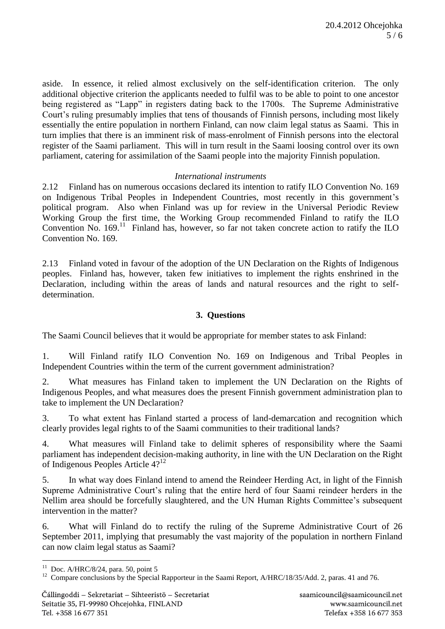aside. In essence, it relied almost exclusively on the self-identification criterion. The only additional objective criterion the applicants needed to fulfil was to be able to point to one ancestor being registered as "Lapp" in registers dating back to the 1700s. The Supreme Administrative Court's ruling presumably implies that tens of thousands of Finnish persons, including most likely essentially the entire population in northern Finland, can now claim legal status as Saami. This in turn implies that there is an imminent risk of mass-enrolment of Finnish persons into the electoral register of the Saami parliament. This will in turn result in the Saami loosing control over its own parliament, catering for assimilation of the Saami people into the majority Finnish population.

#### *International instruments*

2.12 Finland has on numerous occasions declared its intention to ratify ILO Convention No. 169 on Indigenous Tribal Peoples in Independent Countries, most recently in this government's political program. Also when Finland was up for review in the Universal Periodic Review Working Group the first time, the Working Group recommended Finland to ratify the ILO Convention No. 169.<sup>11</sup> Finland has, however, so far not taken concrete action to ratify the ILO Convention No. 169.

2.13 Finland voted in favour of the adoption of the UN Declaration on the Rights of Indigenous peoples. Finland has, however, taken few initiatives to implement the rights enshrined in the Declaration, including within the areas of lands and natural resources and the right to selfdetermination.

#### **3. Questions**

The Saami Council believes that it would be appropriate for member states to ask Finland:

1. Will Finland ratify ILO Convention No. 169 on Indigenous and Tribal Peoples in Independent Countries within the term of the current government administration?

2. What measures has Finland taken to implement the UN Declaration on the Rights of Indigenous Peoples, and what measures does the present Finnish government administration plan to take to implement the UN Declaration?

3. To what extent has Finland started a process of land-demarcation and recognition which clearly provides legal rights to of the Saami communities to their traditional lands?

4. What measures will Finland take to delimit spheres of responsibility where the Saami parliament has independent decision-making authority, in line with the UN Declaration on the Right of Indigenous Peoples Article  $4?^{12}$ 

5. In what way does Finland intend to amend the Reindeer Herding Act, in light of the Finnish Supreme Administrative Court's ruling that the entire herd of four Saami reindeer herders in the Nellim area should be forcefully slaughtered, and the UN Human Rights Committee's subsequent intervention in the matter?

6. What will Finland do to rectify the ruling of the Supreme Administrative Court of 26 September 2011, implying that presumably the vast majority of the population in northern Finland can now claim legal status as Saami?

 $11$  Doc. A/HRC/8/24, para. 50, point 5

<sup>&</sup>lt;sup>12</sup> Compare conclusions by the Special Rapporteur in the Saami Report, A/HRC/18/35/Add. 2, paras. 41 and 76.